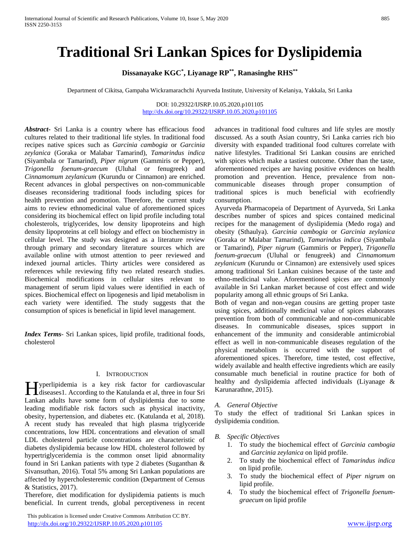# **Traditional Sri Lankan Spices for Dyslipidemia**

**Dissanayake KGC\* , Liyanage RP\*\* , Ranasinghe RHS\*\***

Department of Cikitsa, Gampaha Wickramarachchi Ayurveda Institute, University of Kelaniya, Yakkala, Sri Lanka

#### DOI: 10.29322/IJSRP.10.05.2020.p101105 <http://dx.doi.org/10.29322/IJSRP.10.05.2020.p101105>

*Abstract***-** Sri Lanka is a country where has efficacious food cultures related to their traditional life styles. In traditional food recipes native spices such as *Garcinia cambogia* or *Garcinia zeylanica* (Goraka or Malabar Tamarind), *Tamarindus indica* (Siyambala or Tamarind), *Piper nigrum* (Gammiris or Pepper), *Trigonella foenum-graecum* (Uluhal or fenugreek) and *Cinnamomum zeylanicum* (Kurundu or Cinnamon) are enriched. Recent advances in global perspectives on non-communicable diseases reconsidering traditional foods including spices for health prevention and promotion. Therefore, the current study aims to review ethnomedicinal value of aforementioned spices considering its biochemical effect on lipid profile including total cholesterols, triglycerides, low density lipoproteins and high density lipoproteins at cell biology and effect on biochemistry in cellular level. The study was designed as a literature review through primary and secondary literature sources which are available online with utmost attention to peer reviewed and indexed journal articles. Thirty articles were considered as references while reviewing fifty two related research studies. Biochemical modifications in cellular sites relevant to management of serum lipid values were identified in each of spices. Biochemical effect on lipogenesis and lipid metabolism in each variety were identified. The study suggests that the consumption of spices is beneficial in lipid level management.

*Index Terms*- Sri Lankan spices, lipid profile, traditional foods, cholesterol

#### I. INTRODUCTION

yperlipidemia is a key risk factor for cardiovascular Hyperlipidemia is a key risk factor for cardiovascular<br>
Historiae in four Sri Corollanda et al, three in four Sri Lankan adults have some form of dyslipidemia due to some leading modifiable risk factors such as physical inactivity, obesity, hypertension, and diabetes etc. (Katulanda et al, 2018). A recent study has revealed that high plasma triglyceride concentrations, low HDL concentrations and elevation of small LDL cholesterol particle concentrations are characteristic of diabetes dyslipidemia because low HDL cholesterol followed by hypertriglyceridemia is the common onset lipid abnormality found in Sri Lankan patients with type 2 diabetes (Suganthan & Sivansuthan, 2016). Total 5% among Sri Lankan populations are affected by hypercholesteremic condition (Department of Census & Statistics, 2017).

Therefore, diet modification for dyslipidemia patients is much beneficial. In current trends, global perceptiveness in recent

 This publication is licensed under Creative Commons Attribution CC BY. <http://dx.doi.org/10.29322/IJSRP.10.05.2020.p101105> [www.ijsrp.org](http://ijsrp.org/)

advances in traditional food cultures and life styles are mostly discussed. As a south Asian country, Sri Lanka carries rich bio diversity with expanded traditional food cultures correlate with native lifestyles. Traditional Sri Lankan cousins are enriched with spices which make a tastiest outcome. Other than the taste, aforementioned recipes are having positive evidences on health promotion and prevention. Hence, prevalence from noncommunicable diseases through proper consumption of traditional spices is much beneficial with ecofriendly consumption.

Ayurveda Pharmacopeia of Department of Ayurveda, Sri Lanka describes number of spices and spices contained medicinal recipes for the management of dyslipidemia (Medo roga) and obesity (Sthaulya). *Garcinia cambogia* or *Garcinia zeylanica* (Goraka or Malabar Tamarind), *Tamarindus indica* (Siyambala or Tamarind), *Piper nigrum* (Gammiris or Pepper), *Trigonella foenum-graecum* (Uluhal or fenugreek) and *Cinnamomum zeylanicum* (Kurundu or Cinnamon) are extensively used spices among traditional Sri Lankan cuisines because of the taste and ethno-medicinal value. Aforementioned spices are commonly available in Sri Lankan market because of cost effect and wide popularity among all ethnic groups of Sri Lanka.

Both of vegan and non-vegan cousins are getting proper taste using spices, additionally medicinal value of spices elaborates prevention from both of communicable and non-communicable diseases. In communicable diseases, spices support in enhancement of the immunity and considerable antimicrobial effect as well in non-communicable diseases regulation of the physical metabolism is occurred with the support of aforementioned spices. Therefore, time tested, cost effective, widely available and health effective ingredients which are easily consumable much beneficial in routine practice for both of healthy and dyslipidemia affected individuals (Liyanage & Karunarathne, 2015).

#### *A. General Objective*

To study the effect of traditional Sri Lankan spices in dyslipidemia condition.

- *B. Specific Objectives*
	- 1. To study the biochemical effect of *Garcinia cambogia* and *Garcinia zeylanica* on lipid profile.
	- 2. To study the biochemical effect of *Tamarindus indica* on lipid profile.
	- 3. To study the biochemical effect of *Piper nigrum* on lipid profile.
	- 4. To study the biochemical effect of *Trigonella foenumgraecum* on lipid profile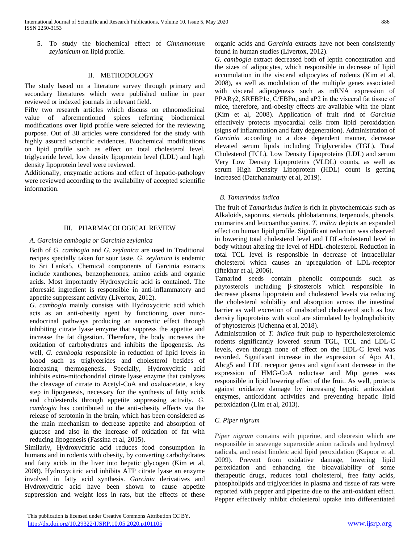5. To study the biochemical effect of *Cinnamomum zeylanicum* on lipid profile.

### II. METHODOLOGY

The study based on a literature survey through primary and secondary literatures which were published online in peer reviewed or indexed journals in relevant field.

Fifty two research articles which discuss on ethnomedicinal value of aforementioned spices referring biochemical modifications over lipid profile were selected for the reviewing purpose. Out of 30 articles were considered for the study with highly assured scientific evidences. Biochemical modifications on lipid profile such as effect on total cholesterol level, triglyceride level, low density lipoprotein level (LDL) and high density lipoprotein level were reviewed.

Additionally, enzymatic actions and effect of hepatic-pathology were reviewed according to the availability of accepted scientific information.

## III. PHARMACOLOGICAL REVIEW

## *A. Garcinia cambogia or Garcinia zeylanica*

Both of *G. cambogia* and *G. zeylanica* are used in Traditional recipes specially taken for sour taste. *G. zeylanica* is endemic to Sri Lanka5. Chemical components of Garcinia extracts include xanthones, benzophenones, amino acids and organic acids. Most importantly Hydroxycitric acid is contained. The aforesaid ingredient is responsible in anti-inflammatory and appetite suppressant activity (Livertox, 2012).

*G. cambogia* mainly consists with Hydroxycitric acid which acts as an anti-obesity agent by functioning over nuroendocrinal pathways producing an anorectic effect through inhibiting citrate lyase enzyme that suppress the appetite and increase the fat digestion. Therefore, the body increases the oxidation of carbohydrates and inhibits the lipogenesis. As well, *G. cambogia* responsible in reduction of lipid levels in blood such as triglycerides and cholesterol besides of increasing thermogenesis. Specially, Hydroxycitric acid inhibits extra-mitochondrial citrate lyase enzyme that catalyzes the cleavage of citrate to Acetyl-CoA and oxaloacetate, a key step in lipogenesis, necessary for the synthesis of fatty acids and cholesterols through appetite suppressing activity. *G. cambogia* has contributed to the anti-obesity effects via the release of serotonin in the brain, which has been considered as the main mechanism to decrease appetite and absorption of glucose and also in the increase of oxidation of fat with reducing lipogenesis (Fassina et al, 2015).

Similarly, Hydroxycitric acid reduces food consumption in humans and in rodents with obesity, by converting carbohydrates and fatty acids in the liver into hepatic glycogen (Kim et al, 2008). Hydroxycitric acid inhibits ATP citrate lyase an enzyme involved in fatty acid synthesis. *Garcinia* derivatives and Hydroxycitric acid have been shown to cause appetite suppression and weight loss in rats, but the effects of these organic acids and *Garcinia* extracts have not been consistently found in human studies (Livertox, 2012).

*G. cambogia* extract decreased both of leptin concentration and the sizes of adipocytes, which responsible in decrease of lipid accumulation in the visceral adipocytes of rodents (Kim et al, 2008), as well as modulation of the multiple genes associated with visceral adipogenesis such as mRNA expression of PPARγ2, SREBP1c, C/EBPα, and aP2 in the visceral fat tissue of mice, therefore, anti-obesity effects are available with the plant (Kim et al, 2008). Application of fruit rind of *Garcinia* effectively protects myocardial cells from lipid peroxidation (signs of inflammation and fatty degeneration). Administration of *Garcinia* according to a dose dependent manner, decrease elevated serum lipids including Triglycerides (TGL), Total Cholesterol (TCL), Low Density Lipoproteins (LDL) and serum Very Low Density Lipoproteins (VLDL) counts, as well as serum High Density Lipoprotein (HDL) count is getting increased (Datchanamurty et al, 2019).

# *B. Tamarindus indica*

The fruit of *Tamarindus indica* is rich in phytochemicals such as Alkaloids, saponins, steroids, phlobatannins, terpenoids, phenols, coumarins and leucoanthocyanins. *T. indica* depicts an expanded effect on human lipid profile. Significant reduction was observed in lowering total cholesterol level and LDL-cholesterol level in body without altering the level of HDL-cholesterol. Reduction in total TCL level is responsible in decrease of intracellular cholesterol which causes an upregulation of LDL-receptor (Iftekhar et al, 2006).

Tamarind seeds contain phenolic compounds such as phytosterols including β-sitosterols which responsible in decrease plasma lipoprotein and cholesterol levels via reducing the cholesterol solubility and absorption across the intestinal barrier as well excretion of unabsorbed cholesterol such as low density lipoproteins with stool are stimulated by hydrophobicity of phytosterols (Uchenna et al, 2018).

Administration of *T. indica* fruit pulp to hypercholesterolemic rodents significantly lowered serum TGL, TCL and LDL-C levels, even though none of effect on the HDL-C level was recorded. Significant increase in the expression of Apo A1, Abcg5 and LDL receptor genes and significant decrease in the expression of HMG-CoA reductase and Mtp genes was responsible in lipid lowering effect of the fruit. As well, protects against oxidative damage by increasing hepatic antioxidant enzymes, antioxidant activities and preventing hepatic lipid peroxidation (Lim et al, 2013).

# *C. Piper nigrum*

*Piper nigrum* contains with piperine, and oleoresin which are responsible in scavenge superoxide anion radicals and hydroxyl radicals, and resist linoleic acid lipid peroxidation (Kapoor et al, 2009). Prevent from oxidative damage, lowering lipid peroxidation and enhancing the bioavailability of some therapeutic drugs, reduces total cholesterol, free fatty acids, phospholipids and triglycerides in plasma and tissue of rats were reported with pepper and piperine due to the anti-oxidant effect. Pepper effectively inhibit cholesterol uptake into differentiated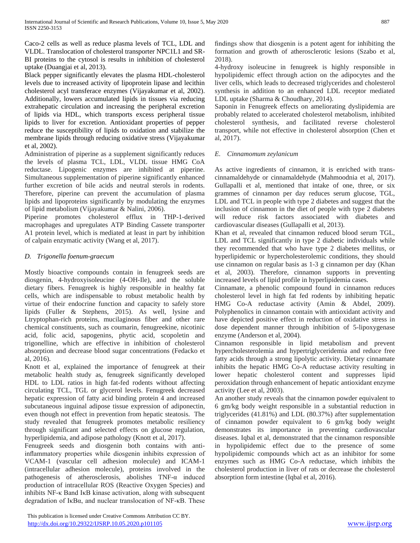Caco-2 cells as well as reduce plasma levels of TCL, LDL and VLDL. Translocation of cholesterol transporter NPC1L1 and SR-BI proteins to the cytosol is results in inhibition of cholesterol uptake (Duangjai et al, 2013).

Black pepper significantly elevates the plasma HDL-cholesterol levels due to increased activity of lipoprotein lipase and lecithin cholesterol acyl transferace enzymes (Vijayakumar et al, 2002). Additionally, lowers accumulated lipids in tissues via reducing extrahepatic circulation and increasing the peripheral excretion of lipids via HDL, which transports excess peripheral tissue lipids to liver for excretion. Antioxidant properties of pepper reduce the susceptibility of lipids to oxidation and stabilize the membrane lipids through reducing oxidative stress (Vijayakumar et al, 2002).

Administration of piperine as a supplement significantly reduces the levels of plasma TCL, LDL, VLDL tissue HMG CoA reductase. Lipogenic enzymes are inhibited at piperine. Simultaneous supplementation of piperine significantly enhanced further excretion of bile acids and neutral sterols in rodents. Therefore, piperine can prevent the accumulation of plasma lipids and lipoproteins significantly by modulating the enzymes of lipid metabolism (Vijayakumar & Nalini, 2006).

Piperine promotes cholesterol efflux in THP-1-derived macrophages and upregulates ATP Binding Cassete transporter A1 protein level, which is mediated at least in part by inhibition of calpain enzymatic activity (Wang et al, 2017).

# *D. Trigonella foenum-graecum*

Mostly bioactive compounds contain in fenugreek seeds are diosgenin, 4-hydroxyisoleucine (4-OH-Ile), and the soluble dietary fibers. Fenugreek is highly responsible in healthy fat cells, which are indispensable to robust metabolic health by virtue of their endocrine function and capacity to safely store lipids (Fuller & Stephens, 2015). As well, lysine and Ltryptophan-rich proteins, mucilaginous fiber and other rare chemical constituents, such as coumarin, fenugreekine, nicotinic acid, folic acid, sapogenins, phytic acid, scopoletin and trigonelline, which are effective in inhibition of cholesterol absorption and decrease blood sugar concentrations (Fedacko et al, 2016).

Knott et al, explained the importance of fenugreek at their metabolic health study as, fenugreek significantly developed HDL to LDL ratios in high fat-fed rodents without affecting circulating TCL, TGL or glycerol levels. Fenugreek decreased hepatic expression of fatty acid binding protein 4 and increased subcutaneous inguinal adipose tissue expression of adiponectin, even though not effect in prevention from hepatic steatosis. The study revealed that fenugreek promotes metabolic resiliency through significant and selected effects on glucose regulation, hyperlipidemia, and adipose pathology (Knott et al, 2017).

Fenugreek seeds and diosgenin both contains with antiinflammatory properties while diosgenin inhibits expression of VCAM-1 (vascular cell adhesion molecule) and ICAM-1 (intracellular adhesion molecule), proteins involved in the pathogenesis of atherosclerosis, abolishes TNF-α induced production of intracellular ROS (Reactive Oxygen Species) and inhibits NF-κ Band IκB kinase activation, along with subsequent degradation of IκBα, and nuclear translocation of NF-κB. These

 This publication is licensed under Creative Commons Attribution CC BY. <http://dx.doi.org/10.29322/IJSRP.10.05.2020.p101105> [www.ijsrp.org](http://ijsrp.org/)

findings show that diosgenin is a potent agent for inhibiting the formation and growth of atherosclerotic lesions (Szabo et al, 2018).

4-hydroxy isoleucine in fenugreek is highly responsible in hypolipidemic effect through action on the adipocytes and the liver cells, which leads to decreased triglycerides and cholesterol synthesis in addition to an enhanced LDL receptor mediated LDL uptake (Sharma & Choudhary, 2014).

Saponin in Fenugreek effects on ameliorating dyslipidemia are probably related to accelerated cholesterol metabolism, inhibited cholesterol synthesis, and facilitated reverse cholesterol transport, while not effective in cholesterol absorption (Chen et al, 2017).

# *E. Cinnamomum zeylanicum*

As active ingredients of cinnamon, it is enriched with transcinnamaldehyde or cinnamaldehyde (Mahmoodnia et al, 2017). Gullapalli et al, mentioned that intake of one, three, or six grammes of cinnamon per day reduces serum glucose, TGL, LDL and TCL in people with type 2 diabetes and suggest that the inclusion of cinnamon in the diet of people with type 2 diabetes will reduce risk factors associated with diabetes and cardiovascular diseases (Gullapalli et al, 2013).

Khan et al, revealed that cinnamon reduced blood serum TGL, LDL and TCL significantly in type 2 diabetic individuals while they recommended that who have type 2 diabetes mellitus, or hyperlipidemic or hypercholesterolemic conditions, they should use cinnamon on regular basis as 1-3 g cinnamon per day (Khan et al, 2003). Therefore, cinnamon supports in preventing increased levels of lipid profile in hyperlipidemia cases.

Cinnamate, a phenolic compound found in cinnamon reduces cholesterol level in high fat fed rodents by inhibiting hepatic HMG Co-A reductase activity (Amin & Abdel, 2009). Polyphenolics in cinnamon contain with antioxidant activity and have depicted positive effect in reduction of oxidative stress in dose dependent manner through inhibition of 5-lipoxygenase enzyme (Anderson et al, 2004).

Cinnamon responsible in lipid metabolism and prevent hypercholesterolemia and hypertriglyceridemia and reduce free fatty acids through a strong lipolytic activity. Dietary cinnamate inhibits the hepatic HMG Co-A reductase activity resulting in lower hepatic cholesterol content and suppresses lipid peroxidation through enhancement of hepatic antioxidant enzyme activity (Lee et al, 2003).

An another study reveals that the cinnamon powder equivalent to 6 gm/kg body weight responsible in a substantial reduction in triglycerides (41.81%) and LDL (80.37%) after supplementation of cinnamon powder equivalent to 6 gm/kg body weight demonstrates its importance in preventing cardiovascular diseases. Iqbal et al, demonstrated that the cinnamon responsible in hypolipidemic effect due to the presence of some hypolipidemic compounds which act as an inhibitor for some enzymes such as HMG Co-A reductase, which inhibits the cholesterol production in liver of rats or decrease the cholesterol absorption form intestine (Iqbal et al, 2016).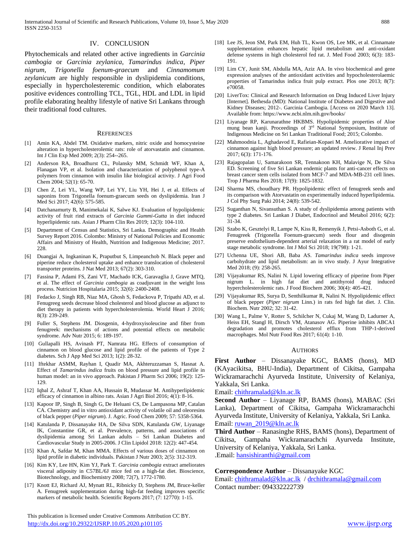#### IV. CONCLUSION

Phytochemicals and related other active ingredients in *Garcinia cambogia* or *Garcinia zeylanica*, *Tamarindus indica*, *Piper nigrum*, *Trigonella foenum-graecum* and *Cinnamomum zeylanicum* are highly responsible in dyslipidemia conditions, especially in hypercholesteremic condition, which elaborates positive evidences controlling TCL, TGL, HDL and LDL in lipid profile elaborating healthy lifestyle of native Sri Lankans through their traditional food cultures.

#### **REFERENCES**

- [1] Amin KA, Abdel TM. Oxidative markers, nitric oxide and homocysteine alteration in hypercholesterolemic rats: role of atorvastatin and cinnamon. Int J Clin Exp Med 2009; 2(3): 254--265.
- [2] Anderson RA, Broadhurst CL, Polansky MM, Schmidt WF, Khan A, Flanagan VP, et al. Isolation and characterization of polyphenol type-A polymers from cinnamon with insulin like biological activity. J Agri Food Chem 2004; 52(1): 65-70.
- [3] Chen Z, Lei YL, Wang WP, Lei YY, Liu YH, Hei J, et al. Effects of saponins from Trigonella foenum-graecum seeds on dyslipidemia. Iran J Med Sci 2017; 42(6): 575-585.
- [4] Datchanamurty B, Manimekalai K, Salwe KJ. Evaluation of hypolipidemic activity of fruit rind extracts of *Garcinia Gummi-Gutta* in diet induced hyperlipidemic rats. Asian J Pharm Clin Res 2019; 12(3): 104-110.
- [5] Department of Census and Statistics, Sri Lanka. Demographic and Health Survey Report 2016. Colombo: Ministry of National Policies and Economic Affairs and Ministry of Health, Nutrition and Indigenous Medicine; 2017. 228.
- [6] Duangjai A, Ingkaninan K, Praputbut S, Limpeanchob N. Black peper and piperine reduce cholesterol uptake and enhance translocation of cholesterol transporter proteins. J Nat Med 2013; 67(2): 303-310.
- [7] Fassina P, Adami FS, Zani VT, Machado ICK, Garavaglia J, Grave MTQ, et al. The effect of *Garcinia cambogia* as coadjuvant in the weight loss process. Nutricion Hospitalaria 2015; 32(6): 2400-2408.
- [8] Fedacko J, Singh RB, Niaz MA, Ghosh S, Fedackova P, Tripathi AD, et al. Fenugreeg seeds decrease blood cholesterol and blood glucose as adjunct to diet therapy in patients with hypercholesterolemia. World Heart J 2016; 8(3): 239-249.
- [9] Fuller S, Stephens JM. Diosgenin, 4-hydroxyisoleucine and fiber from fenugreek: mechanisms of actions and potential effects on metabolic syndrome. Adv Nutr 2015; 6: 189-197.
- [10] Gullapalli HS, Avinash PT, Namrata HG. Effects of consumption of cinnamon on blood glucose and lipid profile of the patients of Type 2 diabetes. Sch J App Med Sci 2013; 1(2): 28-32.
- [11] Iftekhar ASMM, Rayhan I, Quadir MA, Akhteruzzaman S, Hasnat A. Effect of *Tamarindus indica* fruits on blood pressure and lipid profile in human model: an in vivo approach. Pakistan J Pharm Sci 2006; 19(2): 125- 129.
- [12] Iqbal Z, Ashraf T, Khan AA, Hussain R, Mudassar M. Antihyperlipidemic efficacy of cinnamon in albino rats. Asian J Agri Biol 2016; 4(1): 8-16.
- [13] Kapoor IP, Singh B, Singh G, De Heluani CS, De Lampasona MP, Catalan CA. Chemistry and in vitro antioxidant activity of volatile oil and oleoresins of black pepper (*Piper nigrum*). J. Agric. Food Chem 2009; 57: 5358-5364.
- [14] Katulanda P, Dissanayake HA, De Silva SDN, Katulanda GW, Liyanage IK, Constantine GR, et al. Prevalence, patterns, and associations of dyslipidemia among Sri Lankan adults – Sri Lankan Diabetes and Cardiovascular Study in 2005-2006. J Clin Lipidol 2018: 12(2): 447-454.
- [15] Khan A, Safdar M, Khan MMA. Effects of various doses of cinnamon on lipid profile in diabetic individuals. Pakistan J Nutr 2003; 2(5): 312-319.
- [16] Kim KY, Lee HN, Kim YJ, Park T. *Garcinia cambogia* extract ameliorates visceral adiposity in C57BL/6J mice fed on a high-fat diet. Bioscience, Biotechnology, and Biochemistry 2008; 72(7), 1772-1780.
- [17] Knott EJ, Richard AJ, Mynatt RL, Ribnicky D, Stephens JM, Bruce-keller A. Fenugreek supplementation during high-fat feeding improves specific markers of metabolic health. Scientific Reports 2017; (7: 12770): 1-15.
- [18] Lee JS, Jeon SM, Park EM, Huh TL, Kwon OS, Lee MK, et al. Cinnamate supplementation enhances hepatic lipid metabolism and anti-oxidant defense systems in high cholesterol fed rat. J. Med Food 2003; 6(3): 183- 191.
- [19] Lim CY, Junit SM, Abdulla MA, Aziz AA. In vivo biochemical and gene expression analyses of the antioxidant activities and hypocholesterolaemic properties of Tamarindus indica fruit pulp extract. Plos one 2013; 8(7): e70058.
- [20] LiverTox: Clinical and Research Information on Drug Induced Liver Injury [Internet]. Bethesda (MD): National Institute of Diabetes and Digestive and Kidney Diseases; 2012-. Garcinia Cambogia. [Access on 2020 March 13]. Available from: https://www.ncbi.nlm.nih.gov/books/
- [21] Liyanage RP, Karunarathne HKBMS. Hypolipidemic properties of Aloe mung bean kanji. Proceedings of 3rd National Symposium, Institute of Indigenous Medicine on Sri Lankan Traditional Food; 2015; Colombo.
- [22] Mahmoodnia L, Aghadavod E, Rafieian-Kopaei M. Ameliorative impact of cinnamon against high blood pressure; an updated review. J Renal Inj Prev 2017; 6(3): 171-176.
- [23] Rajagopalan U, Samarakoon SR, Tennakoon KH, Malavige N, De Silva ED. Screening of five Sri Lankan endemic plants for anti-cancer effects on breast cancer stem cells isolated from MCF-7 and MDA-MB-231 cell lines. Trop J Pharma Res 2018; 17(9): 1825-1832.
- [24] Sharma MS, choudhary PR. Hypolipidemic effect of fenugreek seeds and its comparison with Atorvastatin on experimentally induced hyperlipidemia. J Col Phy Surg Paki 2014; 24(8): 539-542.
- [25] Suganthan N, Sivansuthan S. A study of dyslipidemia among patients with type 2 diabetes. Sri Lankan J Diabet, Endocrinol and Metabol 2016; 6(2): 31-34.
- [26] Szabo K, Gesztelyi R, Lampe N, Kiss R, Remenyik J, Petsi-Asboth G, et al. Fenugreek (Trigonella Foenum-graecum) seeds flour and disogenin preserve endothelium-dependent arterial relaxation in a rat model of early stage metabolic syndrome. Int J Mol Sci 2018; 19(798): 1-21.
- [27] Uchenna UE, Shori AB, Baba AS. *Tamarindus indica* seeds improve carbohydrate and lipid metabolism: an in vivo study. J Ayur Integrative Med 2018; (9): 258-265.
- [28] Vijayakumar RS, Nalini N. Lipid lowering efficacy of piperine from Piper nigrum L. in high fat diet and antithyroid drug induced hypercholesterolemic rats. J Food Biochem 2006; 30(4): 405-421.
- [29] Vijayakumar RS, Surya D, Senthilkumar R, Nalini N. Hypolipidemic effect of black pepper (*Piper nigrum* Linn.) in rats fed high fat diet. J. Clin. Biochem. Nutr 2002; 32: 31-42.
- [30] Wang L, Palme V, Rotter S, Schilcher N, Cukaj M, Wang D, Ladurner A, Heiss EH, Stangl H, Dirsch VM, Atanasov AG. Piperine inhibits ABCA1 degradation and promotes cholesterol efflux from THP-1-derived macrophages. Mol Nutr Food Res 2017; 61(4): 1-10.

#### AUTHORS

**First Author** – Dissanayake KGC, BAMS (hons), MD (KAyacikitsa, BHU-India), Department of Cikitsa, Gampaha Wickramarachchi Ayurveda Institute, University of Kelaniya, Yakkala, Sri Lanka.

Email: [chithramalad@kln.ac.lk](mailto:chithramalad@kln.ac.lk)

**Second Author** – Liyanage RP, BAMS (hons), MABAC (Sri Lanka), Department of Cikitsa, Gampaha Wickramarachchi Ayurveda Institute, University of Kelaniya, Yakkala, Sri Lanka. Email: [ruwan\\_2019@kln.ac.lk](mailto:ruwan_2019@kln.ac.lk)

**Third Author** – Ranasinghe RHS, BAMS (hons), Department of Cikitsa, Gampaha Wickramarachchi Ayurveda Institute, University of Kelaniya, Yakkala, Sri Lanka.

.Email: [hansishiranthi@gmail.com](mailto:hansishiranthi@gmail.com)

#### **Correspondence Author** – Dissanayake KGC

Email: [chithramalad@kln.ac.lk](mailto:chithramalad@kln.ac.lk) [/ drchithramala@gmail.com](mailto:drchithramala@gmail.com)  Contact number: 094332222739